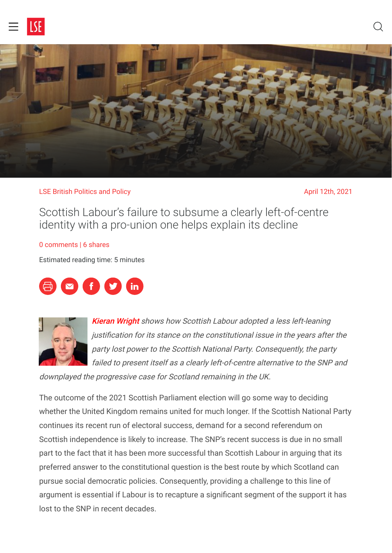



#### LSE British Politics and Policy April 12th, 2021

Scottish Labour's failure to subsume a clearly left-of-centre identity with a pro-union one helps explain its decline

#### [0 comments](#page-3-0) | 6 shares

Estimated reading time: 5 minutes





**[Kieran Wright](#page-3-1)** shows how Scottish Labour adopted a less left-leaning justification for its stance on the constitutional issue in the years after the party lost power to the Scottish National Party. Consequently, the party failed to present itself as a clearly left-of-centre alternative to the SNP and

downplayed the progressive case for Scotland remaining in the UK.

The outcome of the 2021 Scottish Parliament election will go some way to deciding whether the United Kingdom remains united for much longer. If the Scottish National Party continues its recent run of electoral success, demand for a second referendum on Scottish independence is likely to increase. The SNP's recent success is due in no small part to the fact that it has been more successful than Scottish Labour in arguing that its preferred answer to the constitutional question is the best route by which Scotland can pursue social democratic policies. Consequently, providing a challenge to this line of argument is essential if Labour is to recapture a significant segment of the support it has lost to the SNP in recent decades.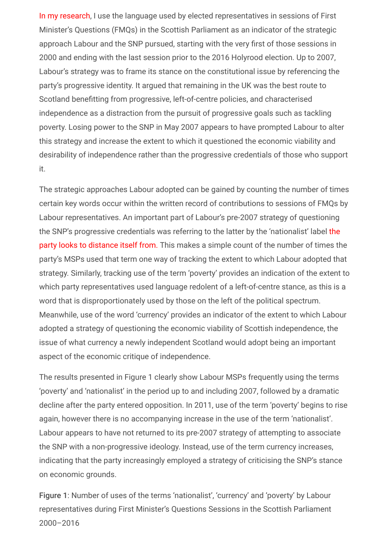[In my research,](https://academic.oup.com/pa/advance-article/doi/10.1093/pa/gsab014/6161248) I use the language used by elected representatives in sessions of First Minister's Questions (FMQs) in the Scottish Parliament as an indicator of the strategic approach Labour and the SNP pursued, starting with the very first of those sessions in 2000 and ending with the last session prior to the 2016 Holyrood election. Up to 2007, Labour's strategy was to frame its stance on the constitutional issue by referencing the party's progressive identity. It argued that remaining in the UK was the best route to Scotland benefitting from progressive, left-of-centre policies, and characterised independence as a distraction from the pursuit of progressive goals such as tackling poverty. Losing power to the SNP in May 2007 appears to have prompted Labour to alter this strategy and increase the extent to which it questioned the economic viability and desirability of independence rather than the progressive credentials of those who support it.

The strategic approaches Labour adopted can be gained by counting the number of times certain key words occur within the written record of contributions to sessions of FMQs by Labour representatives. An important part of Labour's pre-2007 strategy of questioning [the SNP's progressive credentials was referring to the latter by the 'nationalist' label the](https://www.telegraph.co.uk/news/2017/08/18/nicola-sturgeon-wish-could-change-partys-name-problems-nationalism/%20on%20September) party looks to distance itself from. This makes a simple count of the number of times the party's MSPs used that term one way of tracking the extent to which Labour adopted that strategy. Similarly, tracking use of the term 'poverty' provides an indication of the extent to which party representatives used language redolent of a left-of-centre stance, as this is a word that is disproportionately used by those on the left of the political spectrum. Meanwhile, use of the word 'currency' provides an indicator of the extent to which Labour adopted a strategy of questioning the economic viability of Scottish independence, the issue of what currency a newly independent Scotland would adopt being an important aspect of the economic critique of independence.

The results presented in Figure 1 clearly show Labour MSPs frequently using the terms 'poverty' and 'nationalist' in the period up to and including 2007, followed by a dramatic decline after the party entered opposition. In 2011, use of the term 'poverty' begins to rise again, however there is no accompanying increase in the use of the term 'nationalist'. Labour appears to have not returned to its pre-2007 strategy of attempting to associate the SNP with a non-progressive ideology. Instead, use of the term currency increases, indicating that the party increasingly employed a strategy of criticising the SNP's stance on economic grounds.

Figure 1: Number of uses of the terms 'nationalist', 'currency' and 'poverty' by Labour representatives during First Minister's Questions Sessions in the Scottish Parliament 2000–2016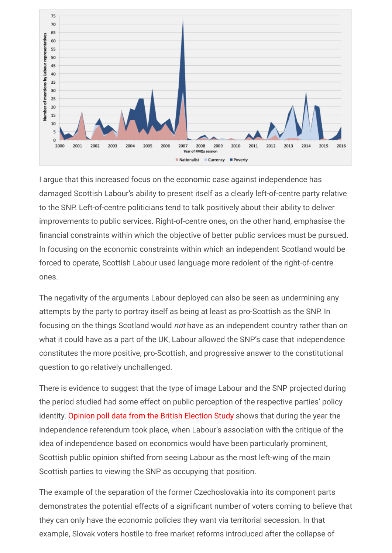

I argue that this increased focus on the economic case against independence has damaged Scottish Labour's ability to present itself as a clearly left-of-centre party relative to the SNP. Left-of-centre politicians tend to talk positively about their ability to deliver improvements to public services. Right-of-centre ones, on the other hand, emphasise the financial constraints within which the objective of better public services must be pursued. In focusing on the economic constraints within which an independent Scotland would be forced to operate, Scottish Labour used language more redolent of the right-of-centre ones.

The negativity of the arguments Labour deployed can also be seen as undermining any attempts by the party to portray itself as being at least as pro-Scottish as the SNP. In focusing on the things Scotland would not have as an independent country rather than on what it could have as a part of the UK, Labour allowed the SNP's case that independence constitutes the more positive, pro-Scottish, and progressive answer to the constitutional question to go relatively unchallenged.

There is evidence to suggest that the type of image Labour and the SNP projected during the period studied had some effect on public perception of the respective parties' policy identity. [Opinion poll data from the British Election Study](https://www.britishelectionstudy.com/data-objects/panel-study-data/) shows that during the year the independence referendum took place, when Labour's association with the critique of the idea of independence based on economics would have been particularly prominent, Scottish public opinion shifted from seeing Labour as the most left-wing of the main Scottish parties to viewing the SNP as occupying that position.

The example of the separation of the former Czechoslovakia into its component parts demonstrates the potential effects of a significant number of voters coming to believe that they can only have the economic policies they want via territorial secession. In that example, Slovak voters hostile to free market reforms introduced after the collapse of